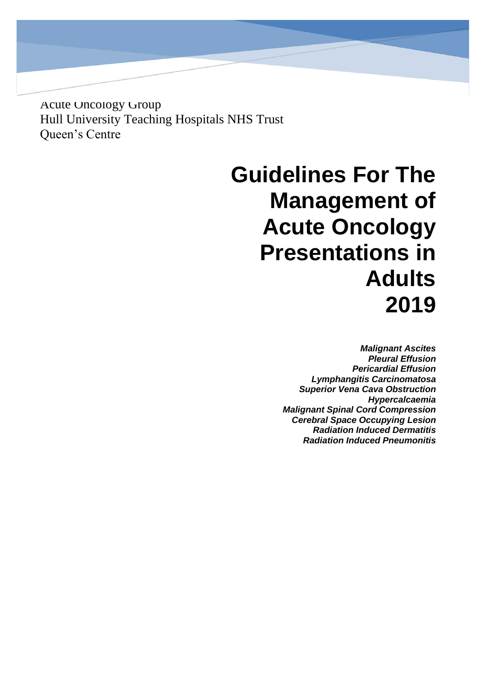Acute Oncology Group Hull University Teaching Hospitals NHS Trust Queen's Centre

# **Guidelines For The Management of Acute Oncology Presentations in Adults 2019**

*Malignant Ascites Pleural Effusion Pericardial Effusion Lymphangitis Carcinomatosa Superior Vena Cava Obstruction Hypercalcaemia Malignant Spinal Cord Compression Cerebral Space Occupying Lesion Radiation Induced Dermatitis Radiation Induced Pneumonitis*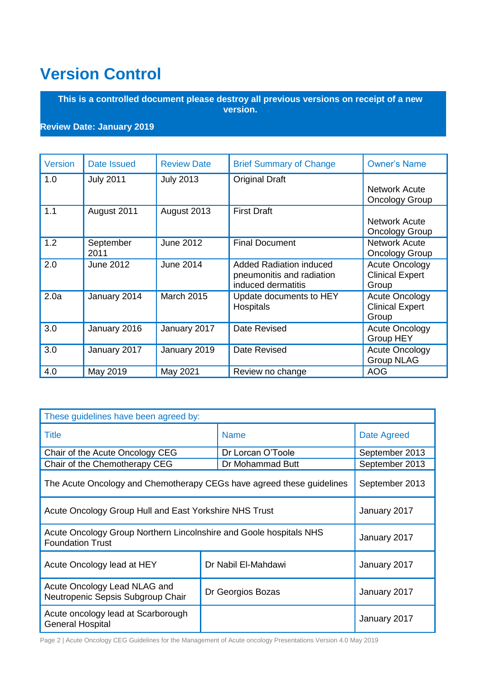## <span id="page-1-0"></span>**Version Control**

**This is a controlled document please destroy all previous versions on receipt of a new version.**

### **Review Date: January 2019**

| Version | Date Issued       | <b>Review Date</b> | <b>Brief Summary of Change</b>                                                    | <b>Owner's Name</b>                                      |
|---------|-------------------|--------------------|-----------------------------------------------------------------------------------|----------------------------------------------------------|
| 1.0     | <b>July 2011</b>  | <b>July 2013</b>   | <b>Original Draft</b>                                                             | <b>Network Acute</b><br><b>Oncology Group</b>            |
| 1.1     | August 2011       | August 2013        | <b>First Draft</b>                                                                | <b>Network Acute</b><br><b>Oncology Group</b>            |
| 1.2     | September<br>2011 | <b>June 2012</b>   | <b>Final Document</b>                                                             | <b>Network Acute</b><br><b>Oncology Group</b>            |
| 2.0     | <b>June 2012</b>  | <b>June 2014</b>   | <b>Added Radiation induced</b><br>pneumonitis and radiation<br>induced dermatitis | <b>Acute Oncology</b><br><b>Clinical Expert</b><br>Group |
| 2.0a    | January 2014      | <b>March 2015</b>  | Update documents to HEY<br><b>Hospitals</b>                                       | <b>Acute Oncology</b><br><b>Clinical Expert</b><br>Group |
| 3.0     | January 2016      | January 2017       | Date Revised                                                                      | <b>Acute Oncology</b><br><b>Group HEY</b>                |
| 3.0     | January 2017      | January 2019       | Date Revised                                                                      | <b>Acute Oncology</b><br><b>Group NLAG</b>               |
| 4.0     | May 2019          | May 2021           | Review no change                                                                  | <b>AOG</b>                                               |

| These guidelines have been agreed by:                                                         |                |                   |                |  |  |
|-----------------------------------------------------------------------------------------------|----------------|-------------------|----------------|--|--|
| <b>Title</b>                                                                                  |                | <b>Name</b>       | Date Agreed    |  |  |
| Chair of the Acute Oncology CEG                                                               |                | Dr Lorcan O'Toole | September 2013 |  |  |
| Chair of the Chemotherapy CEG                                                                 |                | Dr Mohammad Butt  | September 2013 |  |  |
| The Acute Oncology and Chemotherapy CEGs have agreed these guidelines                         | September 2013 |                   |                |  |  |
| Acute Oncology Group Hull and East Yorkshire NHS Trust                                        | January 2017   |                   |                |  |  |
| Acute Oncology Group Northern Lincolnshire and Goole hospitals NHS<br><b>Foundation Trust</b> | January 2017   |                   |                |  |  |
| Dr Nabil El-Mahdawi<br>Acute Oncology lead at HEY                                             |                |                   | January 2017   |  |  |
| Acute Oncology Lead NLAG and<br>Dr Georgios Bozas<br>Neutropenic Sepsis Subgroup Chair        |                | January 2017      |                |  |  |
| Acute oncology lead at Scarborough<br><b>General Hospital</b>                                 |                |                   | January 2017   |  |  |

Page 2 | Acute Oncology CEG Guidelines for the Management of Acute oncology Presentations Version 4.0 May 2019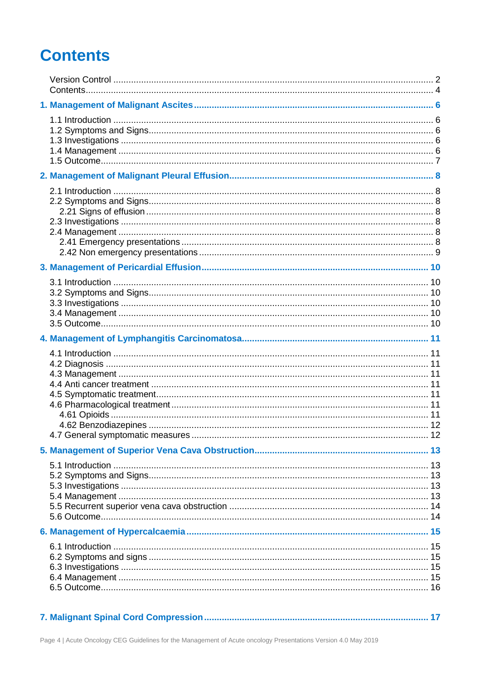## <span id="page-3-0"></span>**Contents**

|--|--|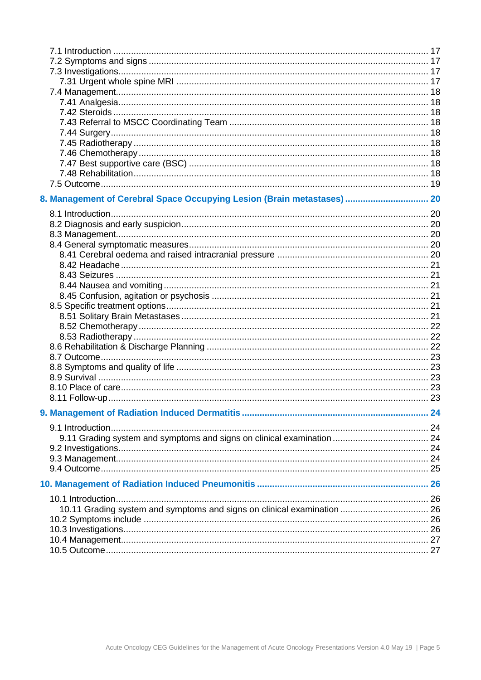<span id="page-4-0"></span>

| 8. Management of Cerebral Space Occupying Lesion (Brain metastases)  20 |  |
|-------------------------------------------------------------------------|--|
|                                                                         |  |
|                                                                         |  |
|                                                                         |  |
|                                                                         |  |
|                                                                         |  |
|                                                                         |  |
|                                                                         |  |
|                                                                         |  |
|                                                                         |  |
|                                                                         |  |
|                                                                         |  |
|                                                                         |  |
|                                                                         |  |
|                                                                         |  |
|                                                                         |  |
|                                                                         |  |
|                                                                         |  |
|                                                                         |  |
|                                                                         |  |
|                                                                         |  |
|                                                                         |  |
|                                                                         |  |
|                                                                         |  |
|                                                                         |  |
|                                                                         |  |
|                                                                         |  |
|                                                                         |  |
|                                                                         |  |
|                                                                         |  |
| 10.11 Grading system and symptoms and signs on clinical examination  26 |  |
|                                                                         |  |
|                                                                         |  |
|                                                                         |  |
|                                                                         |  |
|                                                                         |  |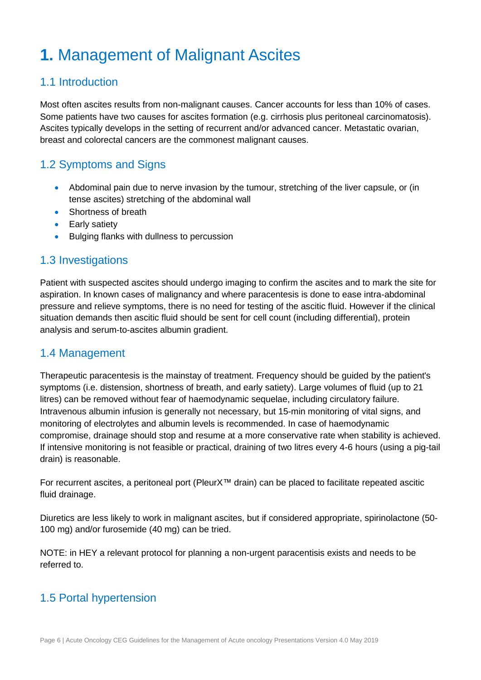## **1.** Management of Malignant Ascites

## <span id="page-5-0"></span>1.1 Introduction

Most often ascites results from non-malignant causes. Cancer accounts for less than 10% of cases. Some patients have two causes for ascites formation (e.g. cirrhosis plus peritoneal carcinomatosis). Ascites typically develops in the setting of recurrent and/or advanced cancer. Metastatic ovarian, breast and colorectal cancers are the commonest malignant causes.

## <span id="page-5-1"></span>1.2 Symptoms and Signs

- Abdominal pain due to nerve invasion by the tumour, stretching of the liver capsule, or (in tense ascites) stretching of the abdominal wall
- Shortness of breath
- Early satiety
- **Bulging flanks with dullness to percussion**

## <span id="page-5-2"></span>1.3 Investigations

Patient with suspected ascites should undergo imaging to confirm the ascites and to mark the site for aspiration. In known cases of malignancy and where paracentesis is done to ease intra-abdominal pressure and relieve symptoms, there is no need for testing of the ascitic fluid. However if the clinical situation demands then ascitic fluid should be sent for cell count (including differential), protein analysis and serum-to-ascites albumin gradient.

## <span id="page-5-3"></span>1.4 Management

Therapeutic paracentesis is the mainstay of treatment. Frequency should be guided by the patient's symptoms (i.e. distension, shortness of breath, and early satiety). Large volumes of fluid (up to 21 litres) can be removed without fear of haemodynamic sequelae, including circulatory failure. Intravenous albumin infusion is generally not necessary, but 15-min monitoring of vital signs, and monitoring of electrolytes and albumin levels is recommended. In case of haemodynamic compromise, drainage should stop and resume at a more conservative rate when stability is achieved. If intensive monitoring is not feasible or practical, draining of two litres every 4-6 hours (using a pig-tail drain) is reasonable.

For recurrent ascites, a peritoneal port (PleurX™ drain) can be placed to facilitate repeated ascitic fluid drainage.

Diuretics are less likely to work in malignant ascites, but if considered appropriate, spirinolactone (50- 100 mg) and/or furosemide (40 mg) can be tried.

NOTE: in HEY a relevant protocol for planning a non-urgent paracentisis exists and needs to be referred to.

## 1.5 Portal hypertension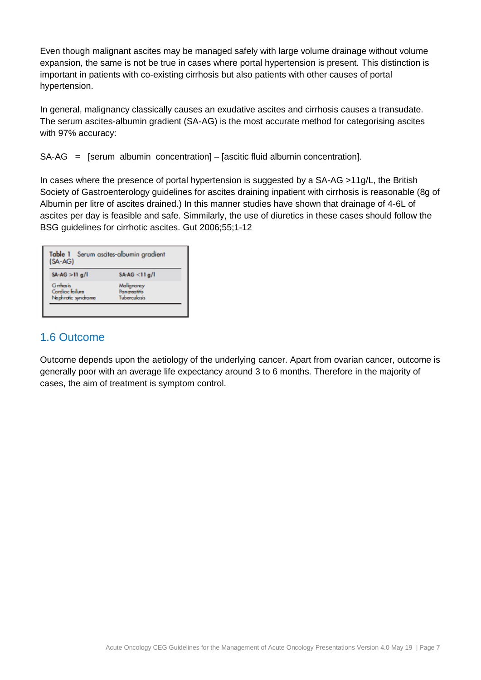Even though malignant ascites may be managed safely with large volume drainage without volume expansion, the same is not be true in cases where portal hypertension is present. This distinction is important in patients with co-existing cirrhosis but also patients with other causes of portal hypertension.

In general, malignancy classically causes an exudative ascites and cirrhosis causes a transudate. The serum ascites-albumin gradient (SA-AG) is the most accurate method for categorising ascites with 97% accuracy:

SA-AG = [serum albumin concentration] – [ascitic fluid albumin concentration].

In cases where the presence of portal hypertension is suggested by a SA-AG >11g/L, the British Society of Gastroenterology guidelines for ascites draining inpatient with cirrhosis is reasonable (8g of Albumin per litre of ascites drained.) In this manner studies have shown that drainage of 4-6L of ascites per day is feasible and safe. Simmilarly, the use of diuretics in these cases should follow the BSG guidelines for cirrhotic ascites. Gut 2006;55;1-12

| Table 1 Serum ascites-albumin gradient<br>$(SA-AG)$ |                                                   |
|-----------------------------------------------------|---------------------------------------------------|
| $SA-AG \geq 11$ g/l                                 | $SA-AG < 11g/l$                                   |
| Grrhosis<br>Cardiac failure<br>Nephrotic syndrome   | Malignancy<br><b>Pancreatitis</b><br>Tuberculosis |

## <span id="page-6-0"></span>1.6 Outcome

<span id="page-6-1"></span>Outcome depends upon the aetiology of the underlying cancer. Apart from ovarian cancer, outcome is generally poor with an average life expectancy around 3 to 6 months. Therefore in the majority of cases, the aim of treatment is symptom control.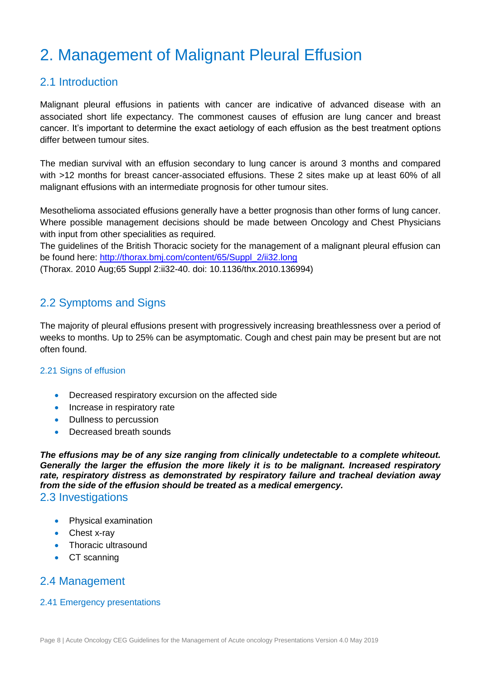## 2. Management of Malignant Pleural Effusion

## <span id="page-7-0"></span>2.1 Introduction

Malignant pleural effusions in patients with cancer are indicative of advanced disease with an associated short life expectancy. The commonest causes of effusion are lung cancer and breast cancer. It's important to determine the exact aetiology of each effusion as the best treatment options differ between tumour sites.

The median survival with an effusion secondary to lung cancer is around 3 months and compared with >12 months for breast cancer-associated effusions. These 2 sites make up at least 60% of all malignant effusions with an intermediate prognosis for other tumour sites.

Mesothelioma associated effusions generally have a better prognosis than other forms of lung cancer. Where possible management decisions should be made between Oncology and Chest Physicians with input from other specialities as required.

The guidelines of the British Thoracic society for the management of a malignant pleural effusion can be found here: [http://thorax.bmj.com/content/65/Suppl\\_2/ii32.long](http://thorax.bmj.com/content/65/Suppl_2/ii32.long) (Thorax. 2010 Aug;65 Suppl 2:ii32-40. doi: 10.1136/thx.2010.136994)

## <span id="page-7-1"></span>2.2 Symptoms and Signs

The majority of pleural effusions present with progressively increasing breathlessness over a period of weeks to months. Up to 25% can be asymptomatic. Cough and chest pain may be present but are not often found.

#### <span id="page-7-2"></span>2.21 Signs of effusion

- Decreased respiratory excursion on the affected side
- Increase in respiratory rate
- Dullness to percussion
- Decreased breath sounds

*The effusions may be of any size ranging from clinically undetectable to a complete whiteout. Generally the larger the effusion the more likely it is to be malignant. Increased respiratory rate, respiratory distress as demonstrated by respiratory failure and tracheal deviation away from the side of the effusion should be treated as a medical emergency.* 2.3 Investigations

- <span id="page-7-3"></span>Physical examination
- Chest x-ray
- Thoracic ultrasound
- CT scanning

## <span id="page-7-4"></span>2.4 Management

#### <span id="page-7-5"></span>2.41 Emergency presentations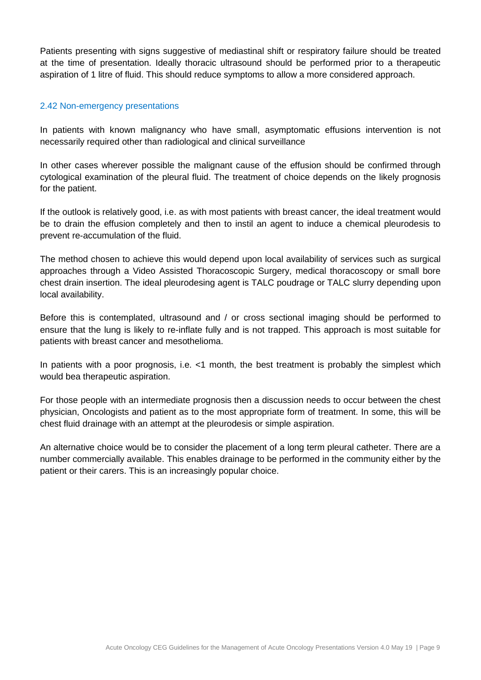Patients presenting with signs suggestive of mediastinal shift or respiratory failure should be treated at the time of presentation. Ideally thoracic ultrasound should be performed prior to a therapeutic aspiration of 1 litre of fluid. This should reduce symptoms to allow a more considered approach.

#### <span id="page-8-0"></span>2.42 Non-emergency presentations

In patients with known malignancy who have small, asymptomatic effusions intervention is not necessarily required other than radiological and clinical surveillance

In other cases wherever possible the malignant cause of the effusion should be confirmed through cytological examination of the pleural fluid. The treatment of choice depends on the likely prognosis for the patient.

If the outlook is relatively good, i.e. as with most patients with breast cancer, the ideal treatment would be to drain the effusion completely and then to instil an agent to induce a chemical pleurodesis to prevent re-accumulation of the fluid.

The method chosen to achieve this would depend upon local availability of services such as surgical approaches through a Video Assisted Thoracoscopic Surgery, medical thoracoscopy or small bore chest drain insertion. The ideal pleurodesing agent is TALC poudrage or TALC slurry depending upon local availability.

Before this is contemplated, ultrasound and / or cross sectional imaging should be performed to ensure that the lung is likely to re-inflate fully and is not trapped. This approach is most suitable for patients with breast cancer and mesothelioma.

In patients with a poor prognosis, i.e. <1 month, the best treatment is probably the simplest which would bea therapeutic aspiration.

For those people with an intermediate prognosis then a discussion needs to occur between the chest physician, Oncologists and patient as to the most appropriate form of treatment. In some, this will be chest fluid drainage with an attempt at the pleurodesis or simple aspiration.

<span id="page-8-1"></span>An alternative choice would be to consider the placement of a long term pleural catheter. There are a number commercially available. This enables drainage to be performed in the community either by the patient or their carers. This is an increasingly popular choice.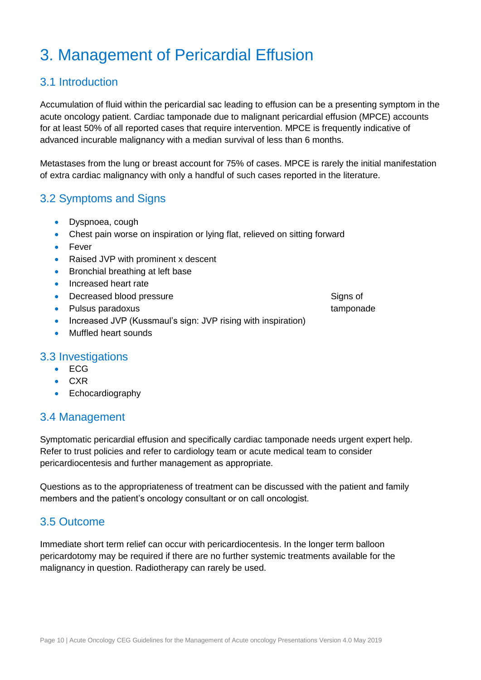## 3. Management of Pericardial Effusion

## <span id="page-9-0"></span>3.1 Introduction

Accumulation of fluid within the pericardial sac leading to effusion can be a presenting symptom in the acute oncology patient. Cardiac tamponade due to malignant pericardial effusion (MPCE) accounts for at least 50% of all reported cases that require intervention. MPCE is frequently indicative of advanced incurable malignancy with a median survival of less than 6 months.

Metastases from the lung or breast account for 75% of cases. MPCE is rarely the initial manifestation of extra cardiac malignancy with only a handful of such cases reported in the literature.

## <span id="page-9-1"></span>3.2 Symptoms and Signs

- Dyspnoea, cough
- Chest pain worse on inspiration or lying flat, relieved on sitting forward
- Fever
- Raised JVP with prominent x descent
- Bronchial breathing at left base
- Increased heart rate
- Decreased blood pressure Signs of
- Pulsus paradoxus tamponade
- Increased JVP (Kussmaul's sign: JVP rising with inspiration)
- Muffled heart sounds

### <span id="page-9-2"></span>3.3 Investigations

- ECG
- $CXR$
- Echocardiography

## <span id="page-9-3"></span>3.4 Management

Symptomatic pericardial effusion and specifically cardiac tamponade needs urgent expert help. Refer to trust policies and refer to cardiology team or acute medical team to consider pericardiocentesis and further management as appropriate.

Questions as to the appropriateness of treatment can be discussed with the patient and family members and the patient's oncology consultant or on call oncologist.

## <span id="page-9-4"></span>3.5 Outcome

Immediate short term relief can occur with pericardiocentesis. In the longer term balloon pericardotomy may be required if there are no further systemic treatments available for the malignancy in question. Radiotherapy can rarely be used.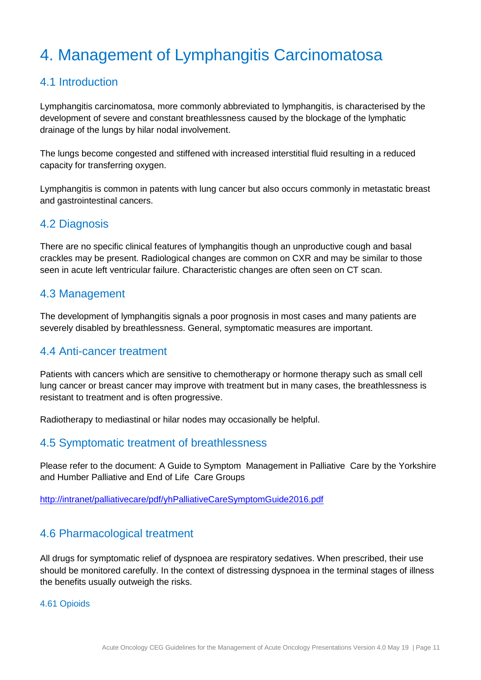## <span id="page-10-0"></span>4. Management of Lymphangitis Carcinomatosa

## <span id="page-10-1"></span>4.1 Introduction

Lymphangitis carcinomatosa, more commonly abbreviated to lymphangitis, is characterised by the development of severe and constant breathlessness caused by the blockage of the lymphatic drainage of the lungs by hilar nodal involvement.

The lungs become congested and stiffened with increased interstitial fluid resulting in a reduced capacity for transferring oxygen.

Lymphangitis is common in patents with lung cancer but also occurs commonly in metastatic breast and gastrointestinal cancers.

### <span id="page-10-2"></span>4.2 Diagnosis

There are no specific clinical features of lymphangitis though an unproductive cough and basal crackles may be present. Radiological changes are common on CXR and may be similar to those seen in acute left ventricular failure. Characteristic changes are often seen on CT scan.

## <span id="page-10-3"></span>4.3 Management

The development of lymphangitis signals a poor prognosis in most cases and many patients are severely disabled by breathlessness. General, symptomatic measures are important.

### <span id="page-10-4"></span>4.4 Anti-cancer treatment

Patients with cancers which are sensitive to chemotherapy or hormone therapy such as small cell lung cancer or breast cancer may improve with treatment but in many cases, the breathlessness is resistant to treatment and is often progressive.

Radiotherapy to mediastinal or hilar nodes may occasionally be helpful.

### <span id="page-10-5"></span>4.5 Symptomatic treatment of breathlessness

Please refer to the document: A Guide to Symptom Management in Palliative Care by the Yorkshire and Humber Palliative and End of Life Care Groups

<http://intranet/palliativecare/pdf/yhPalliativeCareSymptomGuide2016.pdf>

## <span id="page-10-6"></span>4.6 Pharmacological treatment

All drugs for symptomatic relief of dyspnoea are respiratory sedatives. When prescribed, their use should be monitored carefully. In the context of distressing dyspnoea in the terminal stages of illness the benefits usually outweigh the risks.

#### <span id="page-10-7"></span>4.61 Opioids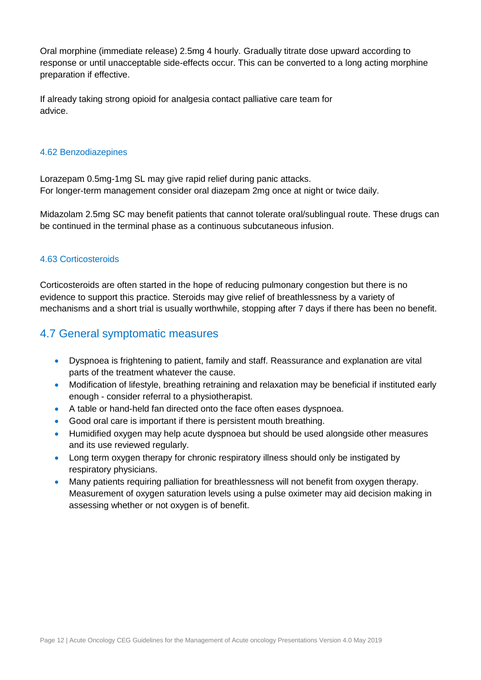Oral morphine (immediate release) 2.5mg 4 hourly. Gradually titrate dose upward according to response or until unacceptable side-effects occur. This can be converted to a long acting morphine preparation if effective.

If already taking strong opioid for analgesia contact palliative care team for advice.

#### <span id="page-11-0"></span>4.62 Benzodiazepines

Lorazepam 0.5mg-1mg SL may give rapid relief during panic attacks. For longer-term management consider oral diazepam 2mg once at night or twice daily.

Midazolam 2.5mg SC may benefit patients that cannot tolerate oral/sublingual route. These drugs can be continued in the terminal phase as a continuous subcutaneous infusion.

#### 4.63 Corticosteroids

Corticosteroids are often started in the hope of reducing pulmonary congestion but there is no evidence to support this practice. Steroids may give relief of breathlessness by a variety of mechanisms and a short trial is usually worthwhile, stopping after 7 days if there has been no benefit.

## <span id="page-11-1"></span>4.7 General symptomatic measures

- Dyspnoea is frightening to patient, family and staff. Reassurance and explanation are vital parts of the treatment whatever the cause.
- Modification of lifestyle, breathing retraining and relaxation may be beneficial if instituted early enough - consider referral to a physiotherapist.
- A table or hand-held fan directed onto the face often eases dyspnoea.
- Good oral care is important if there is persistent mouth breathing.
- Humidified oxygen may help acute dyspnoea but should be used alongside other measures and its use reviewed regularly.
- Long term oxygen therapy for chronic respiratory illness should only be instigated by respiratory physicians.
- Many patients requiring palliation for breathlessness will not benefit from oxygen therapy. Measurement of oxygen saturation levels using a pulse oximeter may aid decision making in assessing whether or not oxygen is of benefit.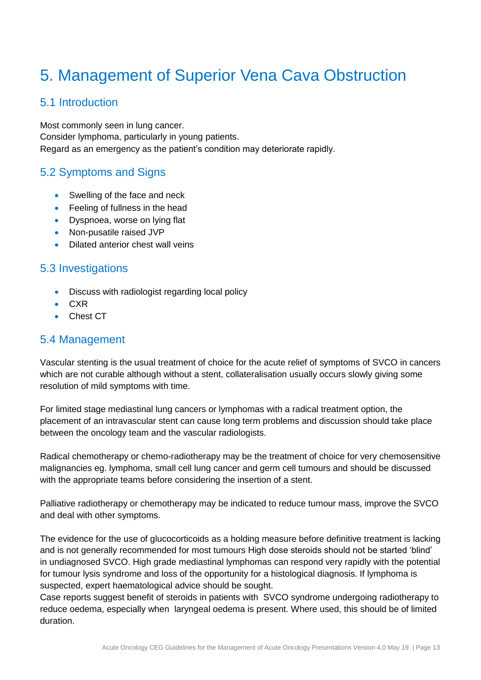## <span id="page-12-0"></span>5. Management of Superior Vena Cava Obstruction

## <span id="page-12-1"></span>5.1 Introduction

Most commonly seen in lung cancer. Consider lymphoma, particularly in young patients. Regard as an emergency as the patient's condition may deteriorate rapidly.

## <span id="page-12-2"></span>5.2 Symptoms and Signs

- Swelling of the face and neck
- Feeling of fullness in the head
- Dyspnoea, worse on lying flat
- Non-pusatile raised JVP
- Dilated anterior chest wall veins

## <span id="page-12-3"></span>5.3 Investigations

- Discuss with radiologist regarding local policy
- CXR
- Chest CT

## <span id="page-12-4"></span>5.4 Management

Vascular stenting is the usual treatment of choice for the acute relief of symptoms of SVCO in cancers which are not curable although without a stent, collateralisation usually occurs slowly giving some resolution of mild symptoms with time.

For limited stage mediastinal lung cancers or lymphomas with a radical treatment option, the placement of an intravascular stent can cause long term problems and discussion should take place between the oncology team and the vascular radiologists.

Radical chemotherapy or chemo-radiotherapy may be the treatment of choice for very chemosensitive malignancies eg. lymphoma, small cell lung cancer and germ cell tumours and should be discussed with the appropriate teams before considering the insertion of a stent.

Palliative radiotherapy or chemotherapy may be indicated to reduce tumour mass, improve the SVCO and deal with other symptoms.

The evidence for the use of glucocorticoids as a holding measure before definitive treatment is lacking and is not generally recommended for most tumours High dose steroids should not be started 'blind' in undiagnosed SVCO. High grade mediastinal lymphomas can respond very rapidly with the potential for tumour lysis syndrome and loss of the opportunity for a histological diagnosis. If lymphoma is suspected, expert haematological advice should be sought.

Case reports suggest benefit of steroids in patients with SVCO syndrome undergoing radiotherapy to reduce oedema, especially when laryngeal oedema is present. Where used, this should be of limited duration.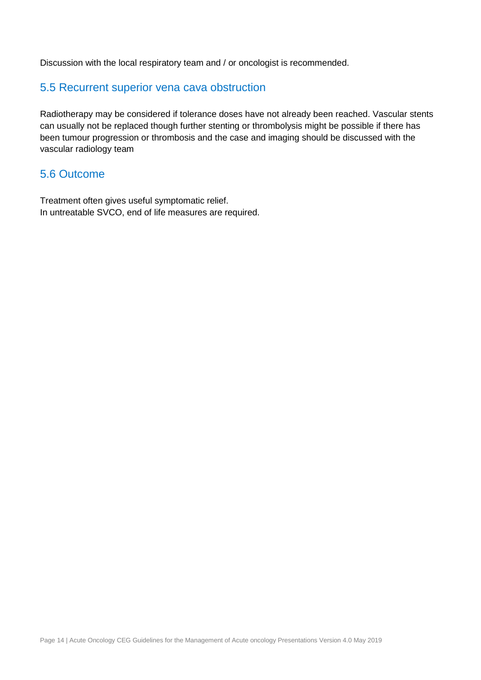Discussion with the local respiratory team and / or oncologist is recommended.

## <span id="page-13-0"></span>5.5 Recurrent superior vena cava obstruction

Radiotherapy may be considered if tolerance doses have not already been reached. Vascular stents can usually not be replaced though further stenting or thrombolysis might be possible if there has been tumour progression or thrombosis and the case and imaging should be discussed with the vascular radiology team

### <span id="page-13-1"></span>5.6 Outcome

<span id="page-13-2"></span>Treatment often gives useful symptomatic relief. In untreatable SVCO, end of life measures are required.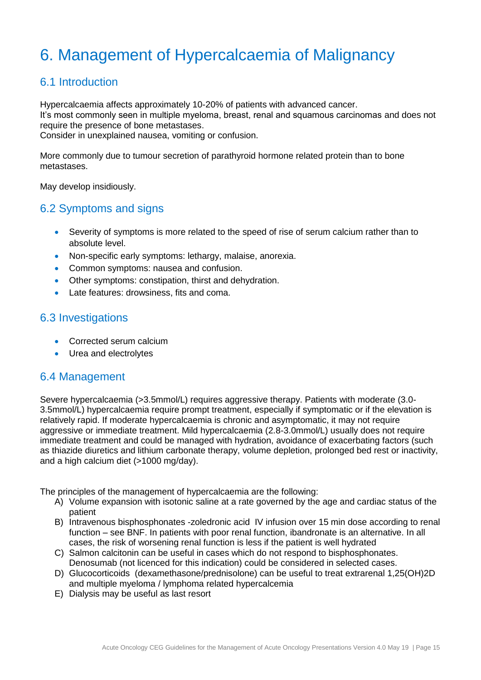## 6. Management of Hypercalcaemia of Malignancy

## <span id="page-14-0"></span>6.1 Introduction

Hypercalcaemia affects approximately 10-20% of patients with advanced cancer. It's most commonly seen in multiple myeloma, breast, renal and squamous carcinomas and does not require the presence of bone metastases.

Consider in unexplained nausea, vomiting or confusion.

More commonly due to tumour secretion of parathyroid hormone related protein than to bone metastases.

May develop insidiously.

## <span id="page-14-1"></span>6.2 Symptoms and signs

- Severity of symptoms is more related to the speed of rise of serum calcium rather than to absolute level.
- Non-specific early symptoms: lethargy, malaise, anorexia.
- Common symptoms: nausea and confusion.
- Other symptoms: constipation, thirst and dehydration.
- Late features: drowsiness, fits and coma.

### <span id="page-14-2"></span>6.3 Investigations

- Corrected serum calcium
- Urea and electrolytes

### <span id="page-14-3"></span>6.4 Management

Severe hypercalcaemia (>3.5mmol/L) requires aggressive therapy. Patients with moderate (3.0- 3.5mmol/L) hypercalcaemia require prompt treatment, especially if symptomatic or if the elevation is relatively rapid. If moderate hypercalcaemia is chronic and asymptomatic, it may not require aggressive or immediate treatment. Mild hypercalcaemia (2.8-3.0mmol/L) usually does not require immediate treatment and could be managed with hydration, avoidance of exacerbating factors (such as thiazide diuretics and lithium carbonate therapy, volume depletion, prolonged bed rest or inactivity, and a high calcium diet (>1000 mg/day).

The principles of the management of hypercalcaemia are the following:

- A) Volume expansion with isotonic saline at a rate governed by the age and cardiac status of the patient
- B) Intravenous bisphosphonates -zoledronic acid IV infusion over 15 min dose according to renal function – see BNF. In patients with poor renal function, ibandronate is an alternative. In all cases, the risk of worsening renal function is less if the patient is well hydrated
- C) Salmon calcitonin can be useful in cases which do not respond to bisphosphonates. Denosumab (not licenced for this indication) could be considered in selected cases.
- D) Glucocorticoids (dexamethasone/prednisolone) can be useful to treat extrarenal 1,25(OH)2D and multiple myeloma / lymphoma related hypercalcemia
- E) Dialysis may be useful as last resort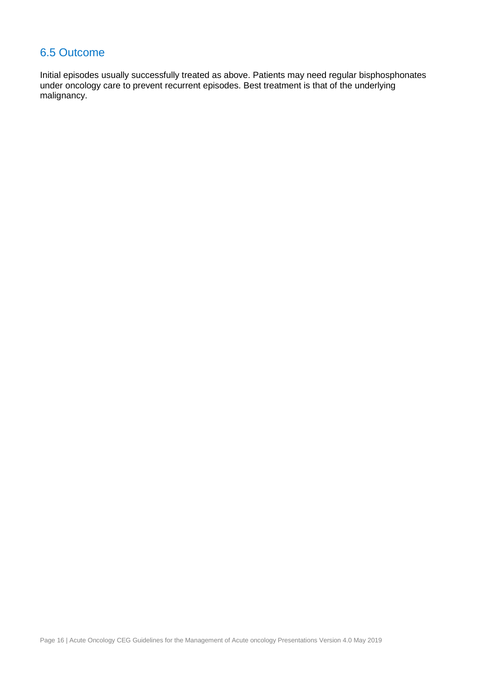## <span id="page-15-0"></span>6.5 Outcome

<span id="page-15-1"></span>Initial episodes usually successfully treated as above. Patients may need regular bisphosphonates under oncology care to prevent recurrent episodes. Best treatment is that of the underlying malignancy.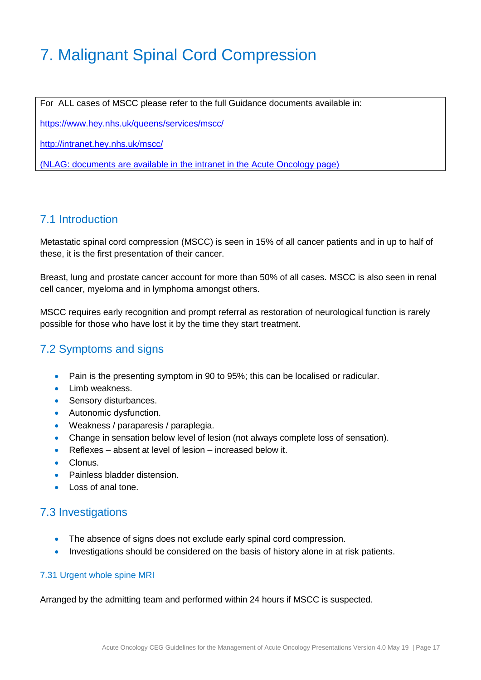## 7. Malignant Spinal Cord Compression

For ALL cases of MSCC please refer to the full Guidance documents available in:

<https://www.hey.nhs.uk/queens/services/mscc/>

<http://intranet.hey.nhs.uk/mscc/>

(NLAG: documents are available in the intranet in the Acute Oncology page)

## <span id="page-16-0"></span>7.1 Introduction

Metastatic spinal cord compression (MSCC) is seen in 15% of all cancer patients and in up to half of these, it is the first presentation of their cancer.

Breast, lung and prostate cancer account for more than 50% of all cases. MSCC is also seen in renal cell cancer, myeloma and in lymphoma amongst others.

MSCC requires early recognition and prompt referral as restoration of neurological function is rarely possible for those who have lost it by the time they start treatment.

## <span id="page-16-1"></span>7.2 Symptoms and signs

- Pain is the presenting symptom in 90 to 95%; this can be localised or radicular.
- Limb weakness.
- Sensory disturbances.
- Autonomic dysfunction.
- Weakness / paraparesis / paraplegia.
- Change in sensation below level of lesion (not always complete loss of sensation).
- Reflexes absent at level of lesion increased below it.
- Clonus.
- Painless bladder distension.
- Loss of anal tone.

### <span id="page-16-2"></span>7.3 Investigations

- The absence of signs does not exclude early spinal cord compression.
- Investigations should be considered on the basis of history alone in at risk patients.

#### <span id="page-16-3"></span>7.31 Urgent whole spine MRI

Arranged by the admitting team and performed within 24 hours if MSCC is suspected.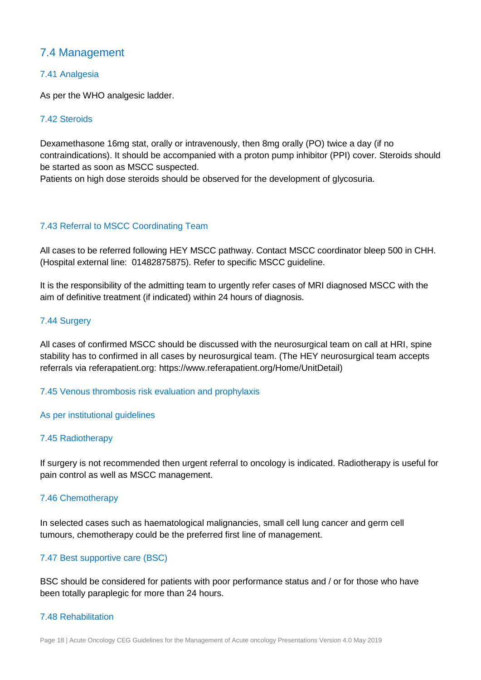## <span id="page-17-0"></span>7.4 Management

#### <span id="page-17-1"></span>7.41 Analgesia

As per the WHO analgesic ladder.

#### <span id="page-17-2"></span>7.42 Steroids

Dexamethasone 16mg stat, orally or intravenously, then 8mg orally (PO) twice a day (if no contraindications). It should be accompanied with a proton pump inhibitor (PPI) cover. Steroids should be started as soon as MSCC suspected.

Patients on high dose steroids should be observed for the development of glycosuria.

#### <span id="page-17-3"></span>7.43 Referral to MSCC Coordinating Team

All cases to be referred following HEY MSCC pathway. Contact MSCC coordinator bleep 500 in CHH. (Hospital external line: 01482875875). Refer to specific MSCC guideline.

It is the responsibility of the admitting team to urgently refer cases of MRI diagnosed MSCC with the aim of definitive treatment (if indicated) within 24 hours of diagnosis.

#### <span id="page-17-4"></span>7.44 Surgery

All cases of confirmed MSCC should be discussed with the neurosurgical team on call at HRI, spine stability has to confirmed in all cases by neurosurgical team. (The HEY neurosurgical team accepts referrals via referapatient.org: https://www.referapatient.org/Home/UnitDetail)

#### 7.45 Venous thrombosis risk evaluation and prophylaxis

#### As per institutional quidelines

#### <span id="page-17-5"></span>7.45 Radiotherapy

If surgery is not recommended then urgent referral to oncology is indicated. Radiotherapy is useful for pain control as well as MSCC management.

#### <span id="page-17-6"></span>7.46 Chemotherapy

In selected cases such as haematological malignancies, small cell lung cancer and germ cell tumours, chemotherapy could be the preferred first line of management.

#### <span id="page-17-7"></span>7.47 Best supportive care (BSC)

BSC should be considered for patients with poor performance status and / or for those who have been totally paraplegic for more than 24 hours.

#### <span id="page-17-8"></span>7.48 Rehabilitation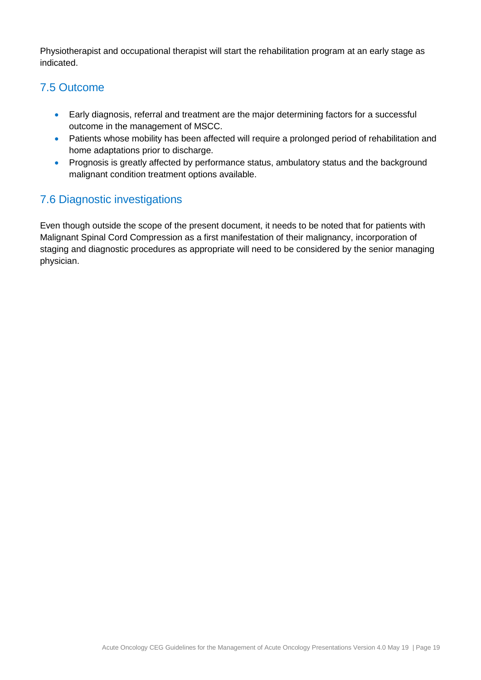Physiotherapist and occupational therapist will start the rehabilitation program at an early stage as indicated.

## <span id="page-18-0"></span>7.5 Outcome

- Early diagnosis, referral and treatment are the major determining factors for a successful outcome in the management of MSCC.
- Patients whose mobility has been affected will require a prolonged period of rehabilitation and home adaptations prior to discharge.
- Prognosis is greatly affected by performance status, ambulatory status and the background malignant condition treatment options available.

## 7.6 Diagnostic investigations

<span id="page-18-1"></span>Even though outside the scope of the present document, it needs to be noted that for patients with Malignant Spinal Cord Compression as a first manifestation of their malignancy, incorporation of staging and diagnostic procedures as appropriate will need to be considered by the senior managing physician.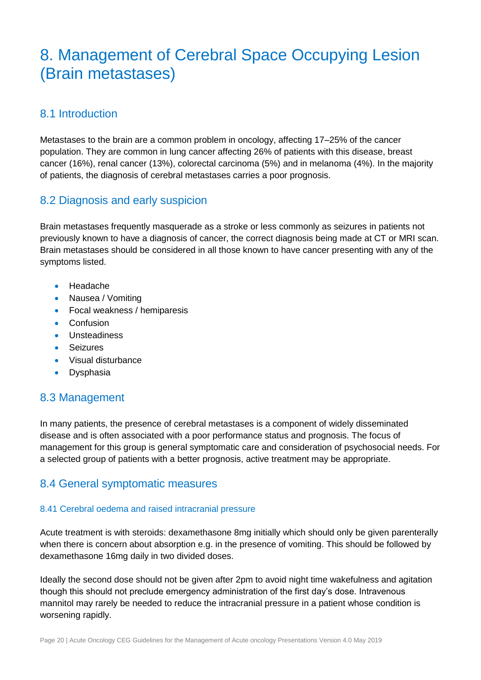## 8. Management of Cerebral Space Occupying Lesion (Brain metastases)

## <span id="page-19-0"></span>8.1 Introduction

Metastases to the brain are a common problem in oncology, affecting 17–25% of the cancer population. They are common in lung cancer affecting 26% of patients with this disease, breast cancer (16%), renal cancer (13%), colorectal carcinoma (5%) and in melanoma (4%). In the majority of patients, the diagnosis of cerebral metastases carries a poor prognosis.

## <span id="page-19-1"></span>8.2 Diagnosis and early suspicion

Brain metastases frequently masquerade as a stroke or less commonly as seizures in patients not previously known to have a diagnosis of cancer, the correct diagnosis being made at CT or MRI scan. Brain metastases should be considered in all those known to have cancer presenting with any of the symptoms listed.

- Headache
- Nausea / Vomiting
- Focal weakness / hemiparesis
- Confusion
- **Unsteadiness**
- Seizures
- Visual disturbance
- **•** Dysphasia

## <span id="page-19-2"></span>8.3 Management

In many patients, the presence of cerebral metastases is a component of widely disseminated disease and is often associated with a poor performance status and prognosis. The focus of management for this group is general symptomatic care and consideration of psychosocial needs. For a selected group of patients with a better prognosis, active treatment may be appropriate.

## <span id="page-19-3"></span>8.4 General symptomatic measures

#### <span id="page-19-4"></span>8.41 Cerebral oedema and raised intracranial pressure

Acute treatment is with steroids: dexamethasone 8mg initially which should only be given parenterally when there is concern about absorption e.g. in the presence of vomiting. This should be followed by dexamethasone 16mg daily in two divided doses.

Ideally the second dose should not be given after 2pm to avoid night time wakefulness and agitation though this should not preclude emergency administration of the first day's dose. Intravenous mannitol may rarely be needed to reduce the intracranial pressure in a patient whose condition is worsening rapidly.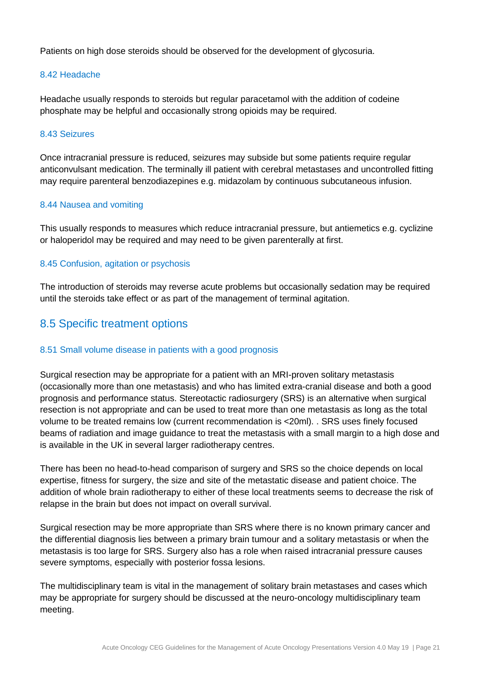Patients on high dose steroids should be observed for the development of glycosuria.

#### <span id="page-20-0"></span>8.42 Headache

Headache usually responds to steroids but regular paracetamol with the addition of codeine phosphate may be helpful and occasionally strong opioids may be required.

#### <span id="page-20-1"></span>8.43 Seizures

Once intracranial pressure is reduced, seizures may subside but some patients require regular anticonvulsant medication. The terminally ill patient with cerebral metastases and uncontrolled fitting may require parenteral benzodiazepines e.g. midazolam by continuous subcutaneous infusion.

#### <span id="page-20-2"></span>8.44 Nausea and vomiting

This usually responds to measures which reduce intracranial pressure, but antiemetics e.g. cyclizine or haloperidol may be required and may need to be given parenterally at first.

#### <span id="page-20-3"></span>8.45 Confusion, agitation or psychosis

The introduction of steroids may reverse acute problems but occasionally sedation may be required until the steroids take effect or as part of the management of terminal agitation.

### <span id="page-20-4"></span>8.5 Specific treatment options

#### <span id="page-20-5"></span>8.51 Small volume disease in patients with a good prognosis

Surgical resection may be appropriate for a patient with an MRI-proven solitary metastasis (occasionally more than one metastasis) and who has limited extra-cranial disease and both a good prognosis and performance status. Stereotactic radiosurgery (SRS) is an alternative when surgical resection is not appropriate and can be used to treat more than one metastasis as long as the total volume to be treated remains low (current recommendation is <20ml). . SRS uses finely focused beams of radiation and image guidance to treat the metastasis with a small margin to a high dose and is available in the UK in several larger radiotherapy centres.

There has been no head-to-head comparison of surgery and SRS so the choice depends on local expertise, fitness for surgery, the size and site of the metastatic disease and patient choice. The addition of whole brain radiotherapy to either of these local treatments seems to decrease the risk of relapse in the brain but does not impact on overall survival.

Surgical resection may be more appropriate than SRS where there is no known primary cancer and the differential diagnosis lies between a primary brain tumour and a solitary metastasis or when the metastasis is too large for SRS. Surgery also has a role when raised intracranial pressure causes severe symptoms, especially with posterior fossa lesions.

The multidisciplinary team is vital in the management of solitary brain metastases and cases which may be appropriate for surgery should be discussed at the neuro-oncology multidisciplinary team meeting.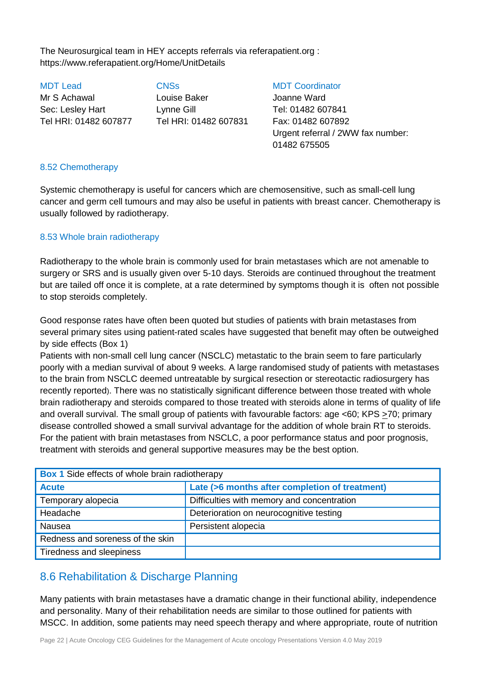The Neurosurgical team in HEY accepts referrals via referapatient.org : https://www.referapatient.org/Home/UnitDetails

MDT Lead CNSs MDT Coordinator Mr S Achawal Louise Baker Joanne Ward Sec: Lesley Hart Lynne Gill Tel: 01482 607841 Tel HRI: 01482 607877 Tel HRI: 01482 607831 Fax: 01482 607892

Urgent referral / 2WW fax number: 01482 675505

#### <span id="page-21-0"></span>8.52 Chemotherapy

Systemic chemotherapy is useful for cancers which are chemosensitive, such as small-cell lung cancer and germ cell tumours and may also be useful in patients with breast cancer. Chemotherapy is usually followed by radiotherapy.

#### <span id="page-21-1"></span>8.53 Whole brain radiotherapy

Radiotherapy to the whole brain is commonly used for brain metastases which are not amenable to surgery or SRS and is usually given over 5-10 days. Steroids are continued throughout the treatment but are tailed off once it is complete, at a rate determined by symptoms though it is often not possible to stop steroids completely.

Good response rates have often been quoted but studies of patients with brain metastases from several primary sites using patient-rated scales have suggested that benefit may often be outweighed by side effects (Box 1)

Patients with non-small cell lung cancer (NSCLC) metastatic to the brain seem to fare particularly poorly with a median survival of about 9 weeks. A large randomised study of patients with metastases to the brain from NSCLC deemed untreatable by surgical resection or stereotactic radiosurgery has recently reported). There was no statistically significant difference between those treated with whole brain radiotherapy and steroids compared to those treated with steroids alone in terms of quality of life and overall survival. The small group of patients with favourable factors: age <60; KPS >70; primary disease controlled showed a small survival advantage for the addition of whole brain RT to steroids. For the patient with brain metastases from NSCLC, a poor performance status and poor prognosis, treatment with steroids and general supportive measures may be the best option.

| <b>Box 1</b> Side effects of whole brain radiotherapy          |                                            |  |  |  |
|----------------------------------------------------------------|--------------------------------------------|--|--|--|
| Late (>6 months after completion of treatment)<br><b>Acute</b> |                                            |  |  |  |
| Temporary alopecia                                             | Difficulties with memory and concentration |  |  |  |
| Headache                                                       | Deterioration on neurocognitive testing    |  |  |  |
| <b>Nausea</b>                                                  | Persistent alopecia                        |  |  |  |
| Redness and soreness of the skin                               |                                            |  |  |  |
| Tiredness and sleepiness                                       |                                            |  |  |  |

## <span id="page-21-2"></span>8.6 Rehabilitation & Discharge Planning

Many patients with brain metastases have a dramatic change in their functional ability, independence and personality. Many of their rehabilitation needs are similar to those outlined for patients with MSCC. In addition, some patients may need speech therapy and where appropriate, route of nutrition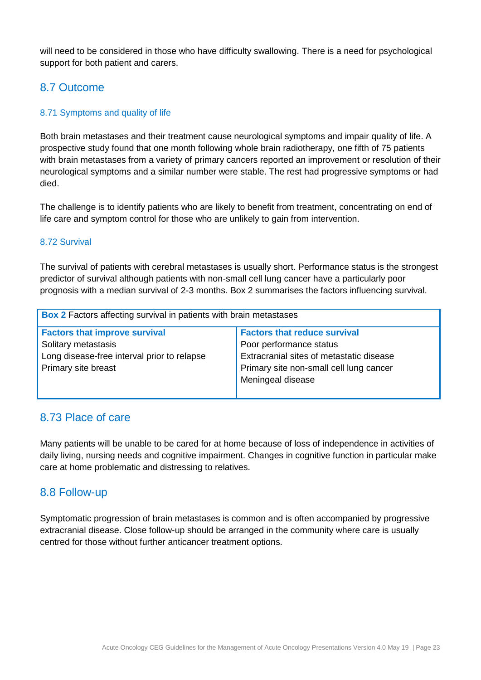will need to be considered in those who have difficulty swallowing. There is a need for psychological support for both patient and carers.

## <span id="page-22-0"></span>8.7 Outcome

#### <span id="page-22-1"></span>8.71 Symptoms and quality of life

Both brain metastases and their treatment cause neurological symptoms and impair quality of life. A prospective study found that one month following whole brain radiotherapy, one fifth of 75 patients with brain metastases from a variety of primary cancers reported an improvement or resolution of their neurological symptoms and a similar number were stable. The rest had progressive symptoms or had died.

The challenge is to identify patients who are likely to benefit from treatment, concentrating on end of life care and symptom control for those who are unlikely to gain from intervention.

#### <span id="page-22-2"></span>8.72 Survival

The survival of patients with cerebral metastases is usually short. Performance status is the strongest predictor of survival although patients with non-small cell lung cancer have a particularly poor prognosis with a median survival of 2-3 months. Box 2 summarises the factors influencing survival.

| <b>Box 2</b> Factors affecting survival in patients with brain metastases |                                          |  |  |  |
|---------------------------------------------------------------------------|------------------------------------------|--|--|--|
| <b>Factors that improve survival</b>                                      | <b>Factors that reduce survival</b>      |  |  |  |
| Solitary metastasis                                                       | Poor performance status                  |  |  |  |
| Long disease-free interval prior to relapse                               | Extracranial sites of metastatic disease |  |  |  |
| Primary site breast                                                       | Primary site non-small cell lung cancer  |  |  |  |
|                                                                           | Meningeal disease                        |  |  |  |
|                                                                           |                                          |  |  |  |

## <span id="page-22-3"></span>8.73 Place of care

Many patients will be unable to be cared for at home because of loss of independence in activities of daily living, nursing needs and cognitive impairment. Changes in cognitive function in particular make care at home problematic and distressing to relatives.

## <span id="page-22-4"></span>8.8 Follow-up

<span id="page-22-5"></span>Symptomatic progression of brain metastases is common and is often accompanied by progressive extracranial disease. Close follow-up should be arranged in the community where care is usually centred for those without further anticancer treatment options.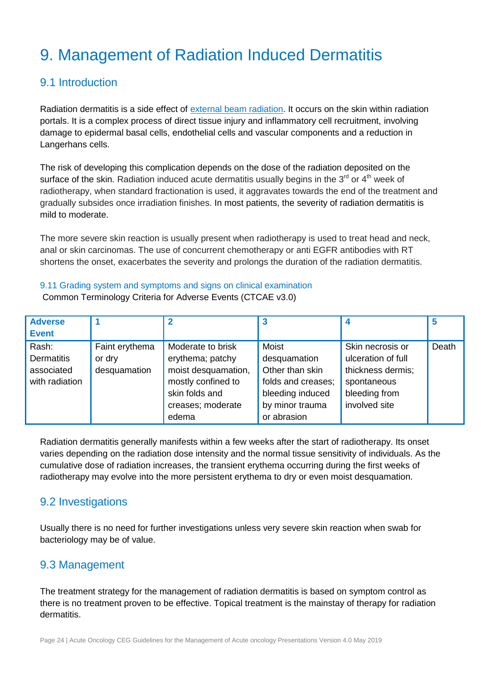## 9. Management of Radiation Induced Dermatitis

## <span id="page-23-0"></span>9.1 Introduction

Radiation dermatitis is a side effect of [external beam radiation.](http://breastcancer.about.com/od/radiationtherapy/p/ex-beam-pbi.htm) It occurs on the skin within radiation portals. It is a complex process of direct tissue injury and inflammatory cell recruitment, involving damage to epidermal basal cells, endothelial cells and vascular components and a reduction in Langerhans cells.

The risk of developing this complication depends on the dose of the radiation deposited on the surface of the skin. Radiation induced acute dermatitis usually begins in the 3<sup>rd</sup> or 4<sup>th</sup> week of radiotherapy, when standard fractionation is used, it aggravates towards the end of the treatment and gradually subsides once irradiation finishes. In most patients, the severity of radiation dermatitis is mild to moderate.

The more severe skin reaction is usually present when radiotherapy is used to treat head and neck, anal or skin carcinomas. The use of concurrent chemotherapy or anti EGFR antibodies with RT shortens the onset, exacerbates the severity and prolongs the duration of the radiation dermatitis.

<span id="page-23-1"></span>9.11 Grading system and symptoms and signs on clinical examination Common Terminology Criteria for Adverse Events (CTCAE v3.0)

| <b>Adverse</b>    |                |                     |                    |                    | 5     |
|-------------------|----------------|---------------------|--------------------|--------------------|-------|
| <b>Event</b>      |                |                     |                    |                    |       |
| Rash:             | Faint erythema | Moderate to brisk   | <b>Moist</b>       | Skin necrosis or   | Death |
| <b>Dermatitis</b> | or dry         | erythema; patchy    | desquamation       | ulceration of full |       |
| associated        | desquamation   | moist desquamation, | Other than skin    | thickness dermis;  |       |
| with radiation    |                | mostly confined to  | folds and creases; | spontaneous        |       |
|                   |                | skin folds and      | bleeding induced   | bleeding from      |       |
|                   |                | creases; moderate   | by minor trauma    | involved site      |       |
|                   |                | edema               | or abrasion        |                    |       |

Radiation dermatitis generally manifests within a few weeks after the start of radiotherapy. Its onset varies depending on the radiation dose intensity and the normal tissue sensitivity of individuals. As the cumulative dose of radiation increases, the transient erythema occurring during the first weeks of radiotherapy may evolve into the more persistent erythema to dry or even moist desquamation.

## <span id="page-23-2"></span>9.2 Investigations

Usually there is no need for further investigations unless very severe skin reaction when swab for bacteriology may be of value.

## <span id="page-23-3"></span>9.3 Management

The treatment strategy for the management of radiation dermatitis is based on symptom control as there is no treatment proven to be effective. Topical treatment is the mainstay of therapy for radiation dermatitis.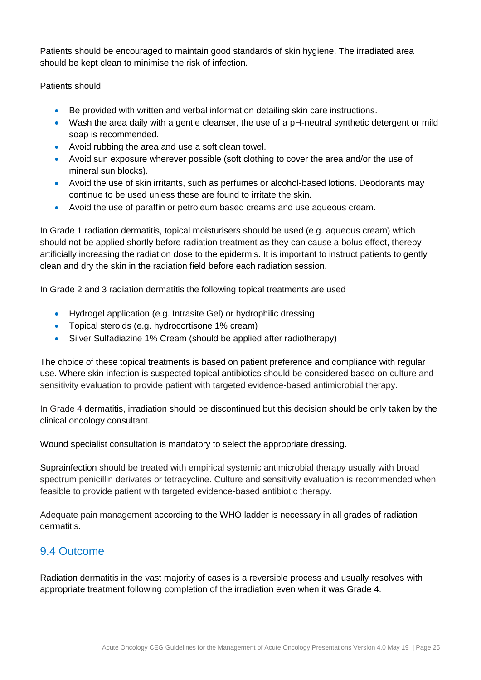Patients should be encouraged to maintain good standards of skin hygiene. The irradiated area should be kept clean to minimise the risk of infection.

#### Patients should

- Be provided with written and verbal information detailing skin care instructions.
- Wash the area daily with a gentle cleanser, the use of a pH-neutral synthetic detergent or mild soap is recommended.
- Avoid rubbing the area and use a soft clean towel.
- Avoid sun exposure wherever possible (soft clothing to cover the area and/or the use of mineral sun blocks).
- Avoid the use of skin irritants, such as perfumes or alcohol-based lotions. Deodorants may continue to be used unless these are found to irritate the skin.
- Avoid the use of paraffin or petroleum based creams and use aqueous cream.

In Grade 1 radiation dermatitis, topical moisturisers should be used (e.g. aqueous cream) which should not be applied shortly before radiation treatment as they can cause a bolus effect, thereby artificially increasing the radiation dose to the epidermis. It is important to instruct patients to gently clean and dry the skin in the radiation field before each radiation session.

In Grade 2 and 3 radiation dermatitis the following topical treatments are used

- Hydrogel application (e.g. Intrasite Gel) or hydrophilic dressing
- Topical steroids (e.g. hydrocortisone 1% cream)
- Silver Sulfadiazine 1% Cream (should be applied after radiotherapy)

The choice of these topical treatments is based on patient preference and compliance with regular use. Where skin infection is suspected topical antibiotics should be considered based on culture and sensitivity evaluation to provide patient with targeted evidence-based antimicrobial therapy.

In Grade 4 dermatitis, irradiation should be discontinued but this decision should be only taken by the clinical oncology consultant.

Wound specialist consultation is mandatory to select the appropriate dressing.

Suprainfection should be treated with empirical systemic antimicrobial therapy usually with broad spectrum penicillin derivates or tetracycline. Culture and sensitivity evaluation is recommended when feasible to provide patient with targeted evidence-based antibiotic therapy.

Adequate pain management according to the WHO ladder is necessary in all grades of radiation dermatitis.

## <span id="page-24-0"></span>9.4 Outcome

Radiation dermatitis in the vast majority of cases is a reversible process and usually resolves with appropriate treatment following completion of the irradiation even when it was Grade 4.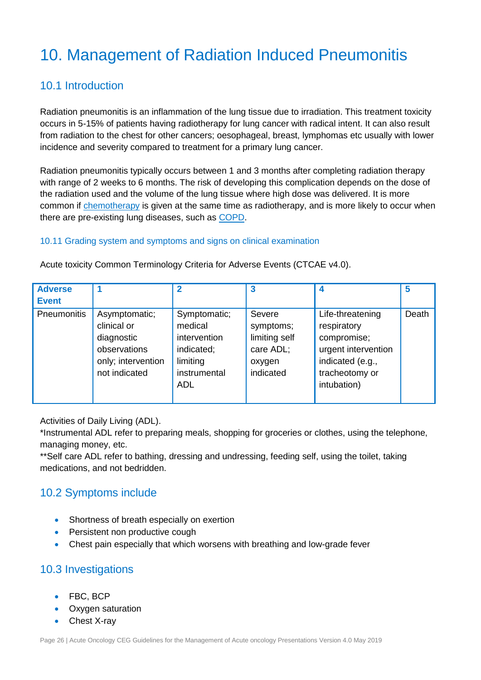## <span id="page-25-0"></span>10. Management of Radiation Induced Pneumonitis

## <span id="page-25-1"></span>10.1 Introduction

Radiation pneumonitis is an inflammation of the lung tissue due to irradiation. This treatment toxicity occurs in 5-15% of patients having radiotherapy for lung cancer with radical intent. It can also result from radiation to the chest for other cancers; oesophageal, breast, lymphomas etc usually with lower incidence and severity compared to treatment for a primary lung cancer.

Radiation pneumonitis typically occurs between 1 and 3 months after completing radiation therapy with range of 2 weeks to 6 months. The risk of developing this complication depends on the dose of the radiation used and the volume of the lung tissue where high dose was delivered. It is more common if [chemotherapy](http://lungcancer.about.com/od/treatmentoflungcancer/a/chemolungrx.htm) is given at the same time as radiotherapy, and is more likely to occur when there are pre-existing lung diseases, such as [COPD.](http://copd.about.com/od/copd/a/copdfacts.htm)

#### <span id="page-25-2"></span>10.11 Grading system and symptoms and signs on clinical examination

| <b>Adverse</b><br><b>Event</b> |                                                                                                   | 2                                                                                               |                                                                          |                                                                                                                            | 5     |
|--------------------------------|---------------------------------------------------------------------------------------------------|-------------------------------------------------------------------------------------------------|--------------------------------------------------------------------------|----------------------------------------------------------------------------------------------------------------------------|-------|
| Pneumonitis                    | Asymptomatic;<br>clinical or<br>diagnostic<br>observations<br>only; intervention<br>not indicated | Symptomatic;<br>medical<br>intervention<br>indicated;<br>limiting<br>instrumental<br><b>ADL</b> | Severe<br>symptoms;<br>limiting self<br>care ADL;<br>oxygen<br>indicated | Life-threatening<br>respiratory<br>compromise;<br>urgent intervention<br>indicated (e.g.,<br>tracheotomy or<br>intubation) | Death |

Acute toxicity Common Terminology Criteria for Adverse Events (CTCAE v4.0).

#### Activities of Daily Living (ADL).

\*Instrumental ADL refer to preparing meals, shopping for groceries or clothes, using the telephone, managing money, etc.

\*\*Self care ADL refer to bathing, dressing and undressing, feeding self, using the toilet, taking medications, and not bedridden.

## <span id="page-25-3"></span>10.2 Symptoms include

- Shortness of breath especially on exertion
- Persistent non productive cough
- Chest pain especially that which worsens with breathing and low-grade fever

## <span id="page-25-4"></span>10.3 Investigations

- FBC, BCP
- Oxygen saturation
- Chest X-ray